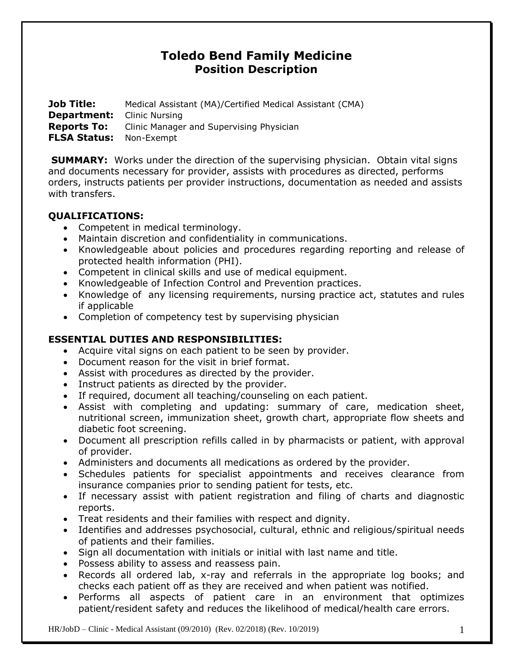# **Toledo Bend Family Medicine Position Description**

**Job Title:** Medical Assistant (MA)/Certified Medical Assistant (CMA) **Department:** Clinic Nursing **Reports To:** Clinic Manager and Supervising Physician **FLSA Status:** Non-Exempt

**SUMMARY:** Works under the direction of the supervising physician. Obtain vital signs and documents necessary for provider, assists with procedures as directed, performs orders, instructs patients per provider instructions, documentation as needed and assists with transfers.

## **QUALIFICATIONS:**

- Competent in medical terminology.
- Maintain discretion and confidentiality in communications.
- Knowledgeable about policies and procedures regarding reporting and release of protected health information (PHI).
- Competent in clinical skills and use of medical equipment.
- Knowledgeable of Infection Control and Prevention practices.
- Knowledge of any licensing requirements, nursing practice act, statutes and rules if applicable
- Completion of competency test by supervising physician

### **ESSENTIAL DUTIES AND RESPONSIBILITIES:**

- Acquire vital signs on each patient to be seen by provider.
- Document reason for the visit in brief format.
- Assist with procedures as directed by the provider.
- Instruct patients as directed by the provider.
- If required, document all teaching/counseling on each patient.
- Assist with completing and updating: summary of care, medication sheet, nutritional screen, immunization sheet, growth chart, appropriate flow sheets and diabetic foot screening.
- Document all prescription refills called in by pharmacists or patient, with approval of provider.
- Administers and documents all medications as ordered by the provider.
- Schedules patients for specialist appointments and receives clearance from insurance companies prior to sending patient for tests, etc.
- If necessary assist with patient registration and filing of charts and diagnostic reports.
- Treat residents and their families with respect and dignity.
- Identifies and addresses psychosocial, cultural, ethnic and religious/spiritual needs of patients and their families.
- Sign all documentation with initials or initial with last name and title.
- Possess ability to assess and reassess pain.
- Records all ordered lab, x-ray and referrals in the appropriate log books; and checks each patient off as they are received and when patient was notified.
- Performs all aspects of patient care in an environment that optimizes patient/resident safety and reduces the likelihood of medical/health care errors.

HR/JobD – Clinic - Medical Assistant (09/2010) (Rev. 02/2018) (Rev. 10/2019) 1